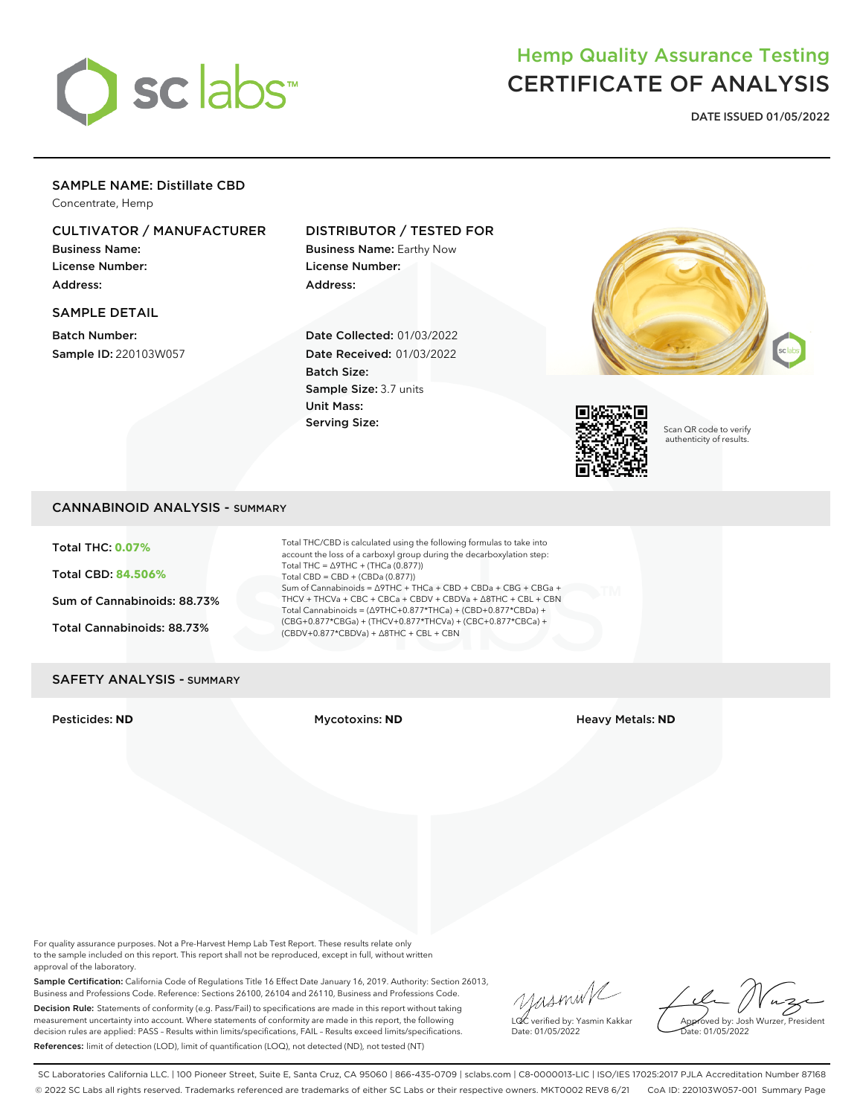

# Hemp Quality Assurance Testing CERTIFICATE OF ANALYSIS

**DATE ISSUED 01/05/2022**

## SAMPLE NAME: Distillate CBD

Concentrate, Hemp

## CULTIVATOR / MANUFACTURER

Business Name: License Number: Address:

#### SAMPLE DETAIL

Batch Number: Sample ID: 220103W057

## DISTRIBUTOR / TESTED FOR

Business Name: Earthy Now License Number: Address:

Date Collected: 01/03/2022 Date Received: 01/03/2022 Batch Size: Sample Size: 3.7 units Unit Mass: Serving Size:





Scan QR code to verify authenticity of results.

## CANNABINOID ANALYSIS - SUMMARY

Total THC: **0.07%**

Total CBD: **84.506%**

Sum of Cannabinoids: 88.73%

Total Cannabinoids: 88.73%

Total THC/CBD is calculated using the following formulas to take into account the loss of a carboxyl group during the decarboxylation step: Total THC = ∆9THC + (THCa (0.877)) Total CBD = CBD + (CBDa (0.877)) Sum of Cannabinoids = ∆9THC + THCa + CBD + CBDa + CBG + CBGa + THCV + THCVa + CBC + CBCa + CBDV + CBDVa + ∆8THC + CBL + CBN Total Cannabinoids = (∆9THC+0.877\*THCa) + (CBD+0.877\*CBDa) + (CBG+0.877\*CBGa) + (THCV+0.877\*THCVa) + (CBC+0.877\*CBCa) + (CBDV+0.877\*CBDVa) + ∆8THC + CBL + CBN

#### SAFETY ANALYSIS - SUMMARY

Pesticides: **ND** Mycotoxins: **ND** Heavy Metals: **ND**

For quality assurance purposes. Not a Pre-Harvest Hemp Lab Test Report. These results relate only to the sample included on this report. This report shall not be reproduced, except in full, without written approval of the laboratory.

Sample Certification: California Code of Regulations Title 16 Effect Date January 16, 2019. Authority: Section 26013, Business and Professions Code. Reference: Sections 26100, 26104 and 26110, Business and Professions Code. Decision Rule: Statements of conformity (e.g. Pass/Fail) to specifications are made in this report without taking measurement uncertainty into account. Where statements of conformity are made in this report, the following decision rules are applied: PASS – Results within limits/specifications, FAIL – Results exceed limits/specifications. References: limit of detection (LOD), limit of quantification (LOQ), not detected (ND), not tested (NT)

yusmink LQC verified by: Yasmin Kakkar

Approved by: Josh Wurzer, President ate: 01/05/2022

Date: 01/05/2022

SC Laboratories California LLC. | 100 Pioneer Street, Suite E, Santa Cruz, CA 95060 | 866-435-0709 | sclabs.com | C8-0000013-LIC | ISO/IES 17025:2017 PJLA Accreditation Number 87168 © 2022 SC Labs all rights reserved. Trademarks referenced are trademarks of either SC Labs or their respective owners. MKT0002 REV8 6/21 CoA ID: 220103W057-001 Summary Page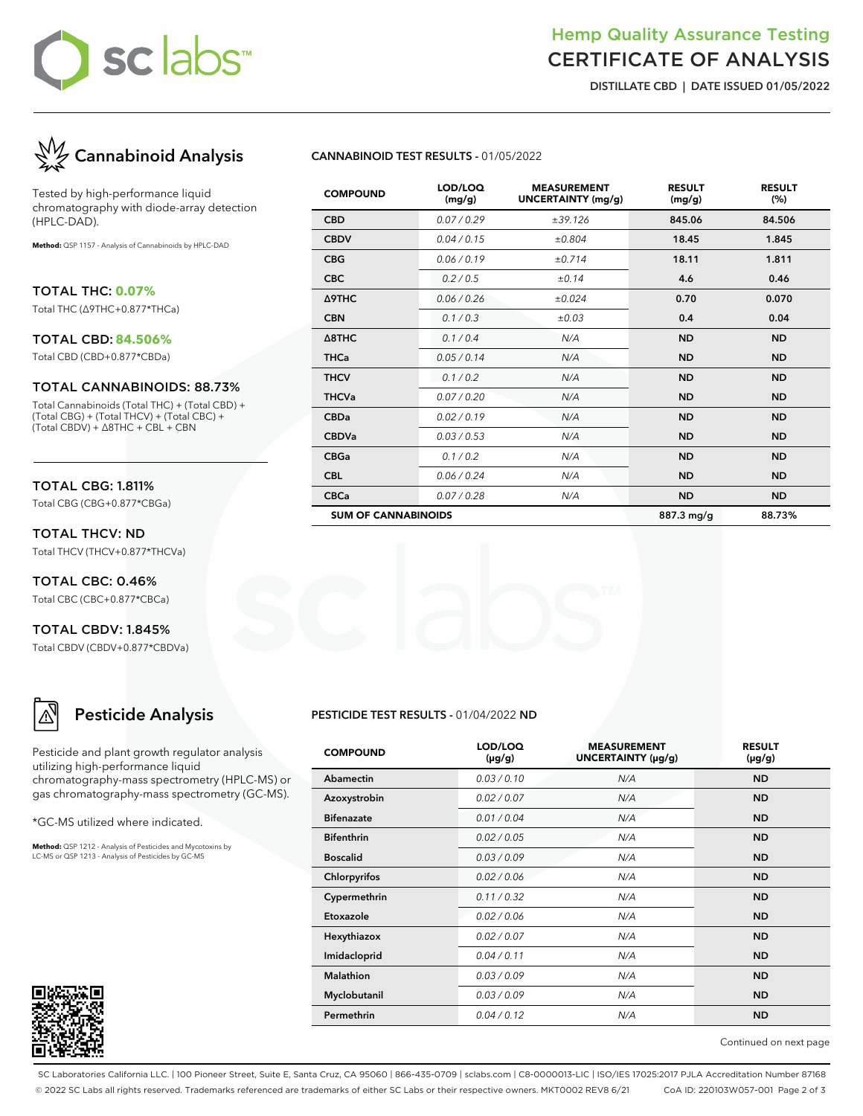# sc labs™

## Hemp Quality Assurance Testing CERTIFICATE OF ANALYSIS

**DISTILLATE CBD | DATE ISSUED 01/05/2022**



Tested by high-performance liquid chromatography with diode-array detection (HPLC-DAD).

**Method:** QSP 1157 - Analysis of Cannabinoids by HPLC-DAD

TOTAL THC: **0.07%** Total THC (∆9THC+0.877\*THCa)

#### TOTAL CBD: **84.506%**

Total CBD (CBD+0.877\*CBDa)

#### TOTAL CANNABINOIDS: 88.73%

Total Cannabinoids (Total THC) + (Total CBD) + (Total CBG) + (Total THCV) + (Total CBC) + (Total CBDV) + ∆8THC + CBL + CBN

### TOTAL CBG: 1.811%

Total CBG (CBG+0.877\*CBGa)

TOTAL THCV: ND Total THCV (THCV+0.877\*THCVa)

TOTAL CBC: 0.46% Total CBC (CBC+0.877\*CBCa)

TOTAL CBDV: 1.845% Total CBDV (CBDV+0.877\*CBDVa)

# **Pesticide Analysis**

Pesticide and plant growth regulator analysis utilizing high-performance liquid chromatography-mass spectrometry (HPLC-MS) or gas chromatography-mass spectrometry (GC-MS).

\*GC-MS utilized where indicated.

**Method:** QSP 1212 - Analysis of Pesticides and Mycotoxins by LC-MS or QSP 1213 - Analysis of Pesticides by GC-MS



#### **CANNABINOID TEST RESULTS -** 01/05/2022

| <b>COMPOUND</b>            | LOD/LOQ<br>(mg/g) | <b>MEASUREMENT</b><br><b>UNCERTAINTY (mg/g)</b> | <b>RESULT</b><br>(mg/g) | <b>RESULT</b><br>(%) |
|----------------------------|-------------------|-------------------------------------------------|-------------------------|----------------------|
| <b>CBD</b>                 | 0.07 / 0.29       | ±39.126                                         | 845.06                  | 84.506               |
| <b>CBDV</b>                | 0.04 / 0.15       | ±0.804                                          | 18.45                   | 1.845                |
| <b>CBG</b>                 | 0.06/0.19         | ±0.714                                          | 18.11                   | 1.811                |
| <b>CBC</b>                 | 0.2 / 0.5         | ±0.14                                           | 4.6                     | 0.46                 |
| Δ9THC                      | 0.06 / 0.26       | ±0.024                                          | 0.70                    | 0.070                |
| <b>CBN</b>                 | 0.1/0.3           | $\pm 0.03$                                      | 0.4                     | 0.04                 |
| $\triangle$ 8THC           | 0.1 / 0.4         | N/A                                             | <b>ND</b>               | <b>ND</b>            |
| <b>THCa</b>                | 0.05/0.14         | N/A                                             | <b>ND</b>               | <b>ND</b>            |
| <b>THCV</b>                | 0.1/0.2           | N/A                                             | <b>ND</b>               | <b>ND</b>            |
| <b>THCVa</b>               | 0.07 / 0.20       | N/A                                             | <b>ND</b>               | <b>ND</b>            |
| <b>CBDa</b>                | 0.02 / 0.19       | N/A                                             | <b>ND</b>               | <b>ND</b>            |
| <b>CBDVa</b>               | 0.03 / 0.53       | N/A                                             | <b>ND</b>               | <b>ND</b>            |
| <b>CBGa</b>                | 0.1 / 0.2         | N/A                                             | <b>ND</b>               | <b>ND</b>            |
| <b>CBL</b>                 | 0.06 / 0.24       | N/A                                             | <b>ND</b>               | <b>ND</b>            |
| <b>CBCa</b>                | 0.07 / 0.28       | N/A                                             | <b>ND</b>               | <b>ND</b>            |
| <b>SUM OF CANNABINOIDS</b> |                   |                                                 | 887.3 mg/g              | 88.73%               |

#### **PESTICIDE TEST RESULTS -** 01/04/2022 **ND**

| <b>COMPOUND</b>   | LOD/LOQ<br>(µg/g) | <b>MEASUREMENT</b><br>UNCERTAINTY (µg/g) | <b>RESULT</b><br>$(\mu g/g)$ |
|-------------------|-------------------|------------------------------------------|------------------------------|
| Abamectin         | 0.03/0.10         | N/A                                      | <b>ND</b>                    |
| Azoxystrobin      | 0.02 / 0.07       | N/A                                      | <b>ND</b>                    |
| <b>Bifenazate</b> | 0.01 / 0.04       | N/A                                      | <b>ND</b>                    |
| <b>Bifenthrin</b> | 0.02 / 0.05       | N/A                                      | <b>ND</b>                    |
| <b>Boscalid</b>   | 0.03/0.09         | N/A                                      | <b>ND</b>                    |
| Chlorpyrifos      | 0.02 / 0.06       | N/A                                      | <b>ND</b>                    |
| Cypermethrin      | 0.11/0.32         | N/A                                      | <b>ND</b>                    |
| Etoxazole         | 0.02 / 0.06       | N/A                                      | <b>ND</b>                    |
| Hexythiazox       | 0.02 / 0.07       | N/A                                      | <b>ND</b>                    |
| Imidacloprid      | 0.04 / 0.11       | N/A                                      | <b>ND</b>                    |
| <b>Malathion</b>  | 0.03/0.09         | N/A                                      | <b>ND</b>                    |
| Myclobutanil      | 0.03/0.09         | N/A                                      | <b>ND</b>                    |
| Permethrin        | 0.04 / 0.12       | N/A                                      | <b>ND</b>                    |

Continued on next page

SC Laboratories California LLC. | 100 Pioneer Street, Suite E, Santa Cruz, CA 95060 | 866-435-0709 | sclabs.com | C8-0000013-LIC | ISO/IES 17025:2017 PJLA Accreditation Number 87168 © 2022 SC Labs all rights reserved. Trademarks referenced are trademarks of either SC Labs or their respective owners. MKT0002 REV8 6/21 CoA ID: 220103W057-001 Page 2 of 3